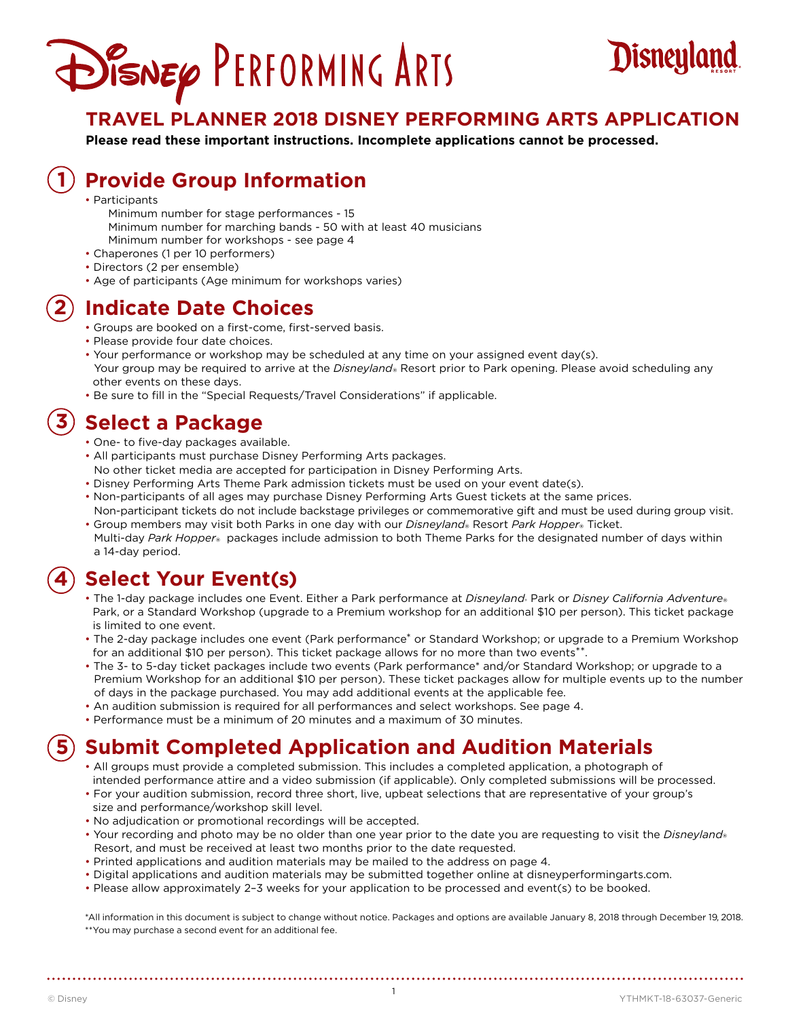# DISNEY PERFORMING ARTS



### **TRAVEL PLANNER 2018 DISNEY PERFORMING ARTS APPLICATION**

**Please read these important instructions. Incomplete applications cannot be processed.** 

#### **Provide Group Information 1**

- Participants
	- Minimum number for stage performances 15 Minimum number for marching bands - 50 with at least 40 musicians Minimum number for workshops - see page 4
- Chaperones (1 per 10 performers)
- Directors (2 per ensemble)
- Age of participants (Age minimum for workshops varies)

#### **Indicate Date Choices 2**

- Groups are booked on a first-come, first-served basis.
- Please provide four date choices.
- Your performance or workshop may be scheduled at any time on your assigned event day(s). Your group may be required to arrive at the *Disneyland*® Resort prior to Park opening. Please avoid scheduling any other events on these days.
- Be sure to fill in the "Special Requests/Travel Considerations" if applicable.

#### **Select a Package 3**

- One- to five-day packages available.
- All participants must purchase Disney Performing Arts packages.
- No other ticket media are accepted for participation in Disney Performing Arts.
- Disney Performing Arts Theme Park admission tickets must be used on your event date(s).
- Non-participants of all ages may purchase Disney Performing Arts Guest tickets at the same prices.
- Non-participant tickets do not include backstage privileges or commemorative gift and must be used during group visit. • Group members may visit both Parks in one day with our *Disneyland*® Resort *Park Hopper*® Ticket.
- Multi-day *Park Hopper*® packages include admission to both Theme Parks for the designated number of days within a 14-day period.

#### **Select Your Event(s) 4**

- The 1-day package includes one Event. Either a Park performance at *Disneyland*. Park or *Disney California Adventure*.<br>Park, or a Standard Workshop (upgrade to a Premium workshop for an additional \$10 per person). This is limited to one event.
- The 2-day package includes one event (Park performance\* or Standard Workshop; or upgrade to a Premium Workshop for an additional \$10 per person). This ticket package allows for no more than two events\*\*.
- The 3- to 5-day ticket packages include two events (Park performance\* and/or Standard Workshop; or upgrade to a Premium Workshop for an additional \$10 per person). These ticket packages allow for multiple events up to the number of days in the package purchased. You may add additional events at the applicable fee.
- An audition submission is required for all performances and select workshops. See page 4.
- Performance must be a minimum of 20 minutes and a maximum of 30 minutes.

#### **Submit Completed Application and Audition Materials 5**

- All groups must provide a completed submission. This includes a completed application, a photograph of intended performance attire and a video submission (if applicable). Only completed submissions will be processed.
- For your audition submission, record three short, live, upbeat selections that are representative of your group's
- size and performance/workshop skill level.

- No adjudication or promotional recordings will be accepted.
- Your recording and photo may be no older than one year prior to the date you are requesting to visit the *Disneyland*® Resort, and must be received at least two months prior to the date requested.
- Printed applications and audition materials may be mailed to the address on page 4.
- Digital applications and audition materials may be submitted together online at disneyperformingarts.com.
- Please allow approximately 2–3 weeks for your application to be processed and event(s) to be booked.

\*All information in this document is subject to change without notice. Packages and options are available January 8, 2018 through December 19, 2018. \*\*You may purchase a second event for an additional fee.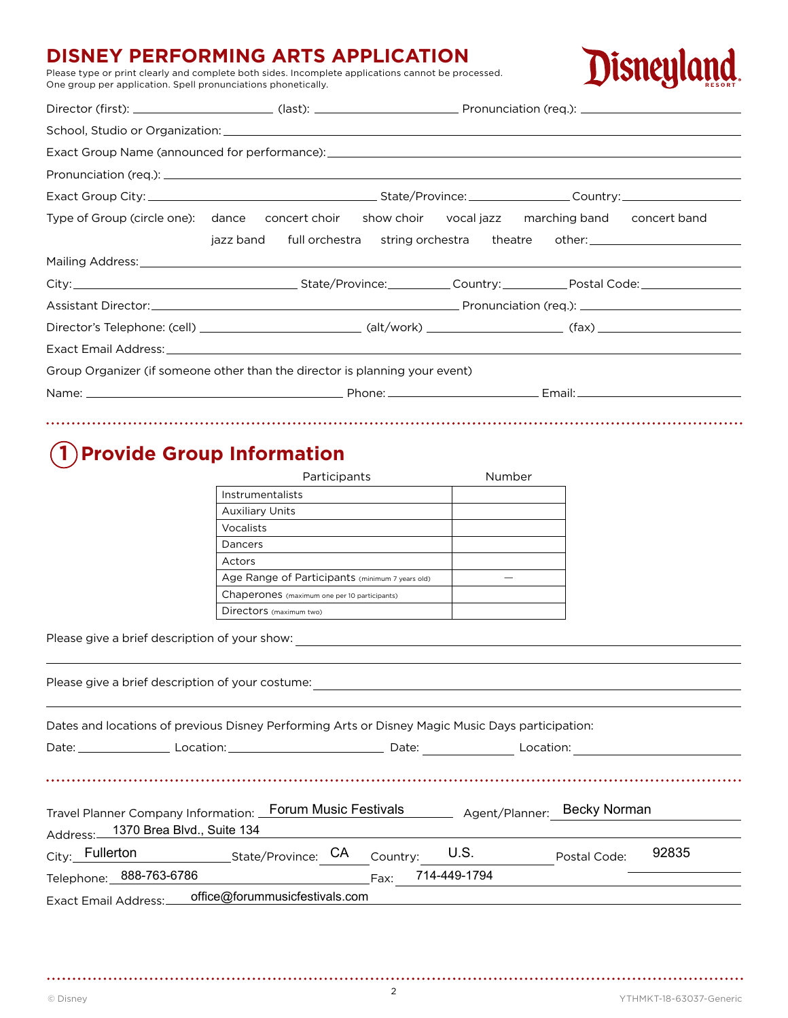### **DISNEY PERFORMING ARTS APPLICATION**

Please type or print clearly and complete both sides. Incomplete applications cannot be processed. One group per application. Spell pronunciations phonetically.



| Type of Group (circle one): dance concert choir show choir vocal jazz marching band concert band |                                                                                  |  |  |
|--------------------------------------------------------------------------------------------------|----------------------------------------------------------------------------------|--|--|
|                                                                                                  | jazz band full orchestra string orchestra theatre other: _______________________ |  |  |
|                                                                                                  |                                                                                  |  |  |
|                                                                                                  |                                                                                  |  |  |
| Assistant Director: <u>Contractor Communication (req.):</u> Pronunciation (req.):                |                                                                                  |  |  |
|                                                                                                  |                                                                                  |  |  |
|                                                                                                  |                                                                                  |  |  |
| Group Organizer (if someone other than the director is planning your event)                      |                                                                                  |  |  |
|                                                                                                  |                                                                                  |  |  |
|                                                                                                  |                                                                                  |  |  |

## **1 Provide Group Information**

| Participants                                    | Number |
|-------------------------------------------------|--------|
| Instrumentalists                                |        |
| <b>Auxiliary Units</b>                          |        |
| Vocalists                                       |        |
| Dancers                                         |        |
| Actors                                          |        |
| Age Range of Participants (minimum 7 years old) |        |
| Chaperones (maximum one per 10 participants)    |        |
| Directors (maximum two)                         |        |

Please give a brief description of your show:

| Please give a brief description of your costume:<br><u> and a set of the set of the set of the set of the set of the set of the set of the set of the set of the set o</u> |                   |                       |
|----------------------------------------------------------------------------------------------------------------------------------------------------------------------------|-------------------|-----------------------|
| Dates and locations of previous Disney Performing Arts or Disney Magic Music Days participation:                                                                           |                   |                       |
| Date: Location: Location: Location: Date: Location: Location:                                                                                                              |                   |                       |
|                                                                                                                                                                            |                   |                       |
| Travel Planner Company Information: Forum Music Festivals Agent/Planner: Becky Norman                                                                                      |                   |                       |
| Address: 1370 Brea Blvd., Suite 134                                                                                                                                        |                   |                       |
| City: Fullerton State/Province: CA Country: U.S.                                                                                                                           |                   | 92835<br>Postal Code: |
| Telephone: 888-763-6786                                                                                                                                                    | Fax: 714-449-1794 |                       |
| Exact Email Address: ____ office@forummusicfestivals.com                                                                                                                   |                   |                       |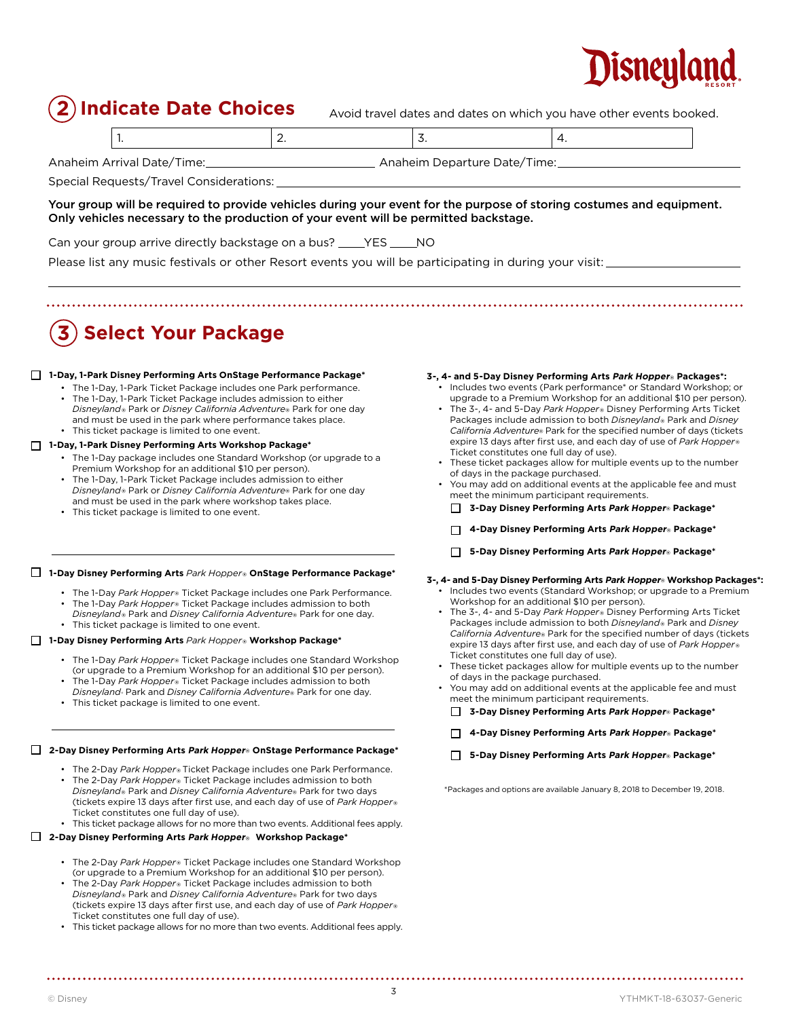## Disneular

**Indicate Date Choices** Avoid travel dates and dates on which you have other events booked.

|--|

Anaheim Arrival Date/Time: Anaheim Departure Date/Time:

Special Requests/Travel Considerations:

#### Your group will be required to provide vehicles during your event for the purpose of storing costumes and equipment. Only vehicles necessary to the production of your event will be permitted backstage.

Can your group arrive directly backstage on a bus? \_\_\_\_\_YES \_\_\_\_\_NO

Please list any music festivals or other Resort events you will be participating in during your visit:

## **3 Select Your Package**

#### **1-Day, 1-Park Disney Performing Arts OnStage Performance Package\***

- The 1-Day, 1-Park Ticket Package includes one Park performance.
- The 1-Day, 1-Park Ticket Package includes admission to either *Disneyland*® Park or *Disney California Adventure*® Park for one day and must be used in the park where performance takes place. • This ticket package is limited to one event.

#### **1-Day, 1-Park Disney Performing Arts Workshop Package\***

- The 1-Day package includes one Standard Workshop (or upgrade to a Premium Workshop for an additional \$10 per person).
- The 1-Day, 1-Park Ticket Package includes admission to either *Disneyland*® Park or *Disney California Adventure*® Park for one day and must be used in the park where workshop takes place.
- This ticket package is limited to one event.

#### **1-Day Disney Performing Arts** *Park Hopper*® **OnStage Performance Package\***

- The 1-Day *Park Hopper*® Ticket Package includes one Park Performance.
- The 1-Day *Park Hopper*® Ticket Package includes admission to both *Disneyland*® Park and *Disney California Adventure*® Park for one day.
- This ticket package is limited to one event.

#### **1-Day Disney Performing Arts** *Park Hopper*® **Workshop Package\***

- The 1-Day *Park Hopper*® Ticket Package includes one Standard Workshop (or upgrade to a Premium Workshop for an additional \$10 per person). • The 1-Day *Park Hopper*® Ticket Package includes admission to both
- *Disneyland*® Park and *Disney California Adventure*® Park for one day.
- This ticket package is limited to one event.

#### **2-Day Disney Performing Arts Park Hopper** ® **OnStage Performance Package\***

- The 2-Day *Park Hopper*® Ticket Package includes one Park Performance. • The 2-Day *Park Hopper*® Ticket Package includes admission to both *Disneyland*® Park and *Disney California Adventure*® Park for two days (tickets expire 13 days after first use, and each day of use of *Park Hopper*® Ticket constitutes one full day of use).
- This ticket package allows for no more than two events. Additional fees apply.

#### **2-Day Disney Performing Arts Park Hopper** ® **Workshop Package\***

- The 2-Day *Park Hopper*® Ticket Package includes one Standard Workshop (or upgrade to a Premium Workshop for an additional \$10 per person).
- The 2-Day *Park Hopper*® Ticket Package includes admission to both *Disneyland*® Park and *Disney California Adventure*® Park for two days (tickets expire 13 days after first use, and each day of use of *Park Hopper*® Ticket constitutes one full day of use).
- This ticket package allows for no more than two events. Additional fees apply.

#### **3-, 4- and 5-Day Disney Performing Arts Park Hopper** ® **Packages\*:**

- Includes two events (Park performance\* or Standard Workshop; or upgrade to a Premium Workshop for an additional \$10 per person).
- The 3-, 4- and 5-Day *Park Hopper*® Disney Performing Arts Ticket Packages include admission to both *Disneyland*® Park and *Disney California Adventure*® Park for the specified number of days (tickets expire 13 days after first use, and each day of use of *Park Hopper*® Ticket constitutes one full day of use).
- These ticket packages allow for multiple events up to the number of days in the package purchased.
- You may add on additional events at the applicable fee and must meet the minimum participant requirements.
	- **3-Day Disney Performing Arts Park Hopper** ® **Package\***
	- **4-Day Disney Performing Arts Park Hopper** ® **Package\***
	- **5-Day Disney Performing Arts Park Hopper** ® **Package\***
- **3-, 4- and 5-Day Disney Performing Arts Park Hopper**® **Workshop Packages\*:** • Includes two events (Standard Workshop; or upgrade to a Premium Workshop for an additional \$10 per person).
	- The 3-, 4- and 5-Day *Park Hopper*® Disney Performing Arts Ticket Packages include admission to both *Disneyland*® Park and *Disney California Adventure*® Park for the specified number of days (tickets expire 13 days after first use, and each day of use of *Park Hopper*® Ticket constitutes one full day of use).
	- These ticket packages allow for multiple events up to the number of days in the package purchased.
	- You may add on additional events at the applicable fee and must meet the minimum participant requirements.

**3-Day Disney Performing Arts Park Hopper** ® **Package\***

- **4-Day Disney Performing Arts Park Hopper** ® **Package\***
- **5-Day Disney Performing Arts Park Hopper** ® **Package\***

\*Packages and options are available January 8, 2018 to December 19, 2018.